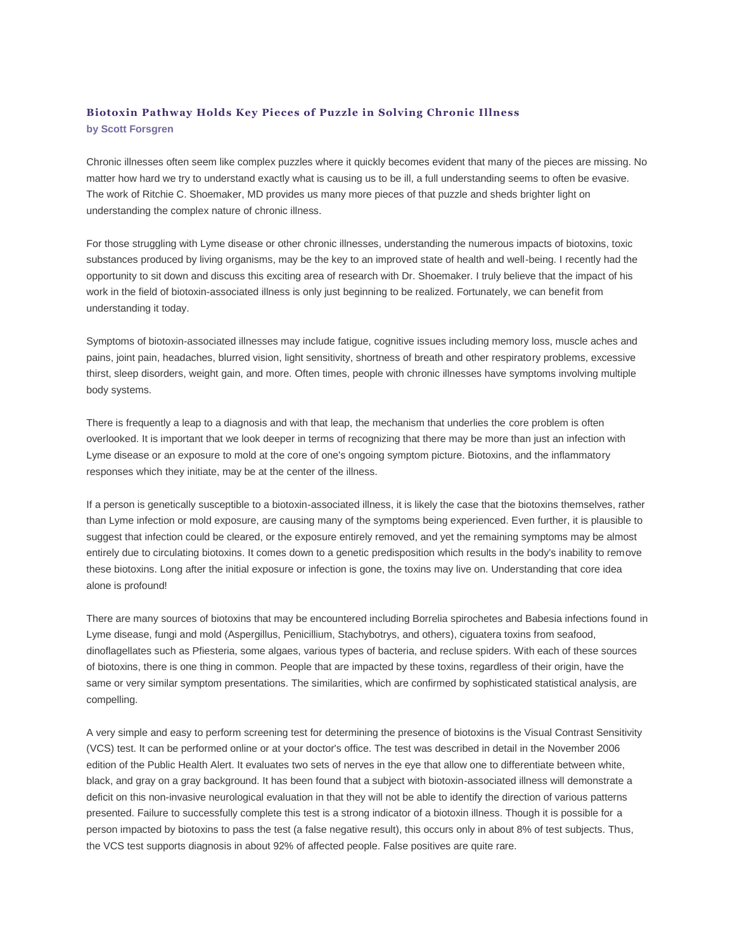## **Biotoxin Pathway Holds Key Pieces of Puzzle in Solving Chronic Illness by Scott Forsgren**

Chronic illnesses often seem like complex puzzles where it quickly becomes evident that many of the pieces are missing. No matter how hard we try to understand exactly what is causing us to be ill, a full understanding seems to often be evasive. The work of Ritchie C. Shoemaker, MD provides us many more pieces of that puzzle and sheds brighter light on understanding the complex nature of chronic illness.

For those struggling with Lyme disease or other chronic illnesses, understanding the numerous impacts of biotoxins, toxic substances produced by living organisms, may be the key to an improved state of health and well-being. I recently had the opportunity to sit down and discuss this exciting area of research with Dr. Shoemaker. I truly believe that the impact of his work in the field of biotoxin-associated illness is only just beginning to be realized. Fortunately, we can benefit from understanding it today.

Symptoms of biotoxin-associated illnesses may include fatigue, cognitive issues including memory loss, muscle aches and pains, joint pain, headaches, blurred vision, light sensitivity, shortness of breath and other respiratory problems, excessive thirst, sleep disorders, weight gain, and more. Often times, people with chronic illnesses have symptoms involving multiple body systems.

There is frequently a leap to a diagnosis and with that leap, the mechanism that underlies the core problem is often overlooked. It is important that we look deeper in terms of recognizing that there may be more than just an infection with Lyme disease or an exposure to mold at the core of one's ongoing symptom picture. Biotoxins, and the inflammatory responses which they initiate, may be at the center of the illness.

If a person is genetically susceptible to a biotoxin-associated illness, it is likely the case that the biotoxins themselves, rather than Lyme infection or mold exposure, are causing many of the symptoms being experienced. Even further, it is plausible to suggest that infection could be cleared, or the exposure entirely removed, and yet the remaining symptoms may be almost entirely due to circulating biotoxins. It comes down to a genetic predisposition which results in the body's inability to remove these biotoxins. Long after the initial exposure or infection is gone, the toxins may live on. Understanding that core idea alone is profound!

There are many sources of biotoxins that may be encountered including Borrelia spirochetes and Babesia infections found in Lyme disease, fungi and mold (Aspergillus, Penicillium, Stachybotrys, and others), ciguatera toxins from seafood, dinoflagellates such as Pfiesteria, some algaes, various types of bacteria, and recluse spiders. With each of these sources of biotoxins, there is one thing in common. People that are impacted by these toxins, regardless of their origin, have the same or very similar symptom presentations. The similarities, which are confirmed by sophisticated statistical analysis, are compelling.

A very simple and easy to perform screening test for determining the presence of biotoxins is the Visual Contrast Sensitivity (VCS) test. It can be performed online or at your doctor's office. The test was described in detail in the November 2006 edition of the Public Health Alert. It evaluates two sets of nerves in the eye that allow one to differentiate between white, black, and gray on a gray background. It has been found that a subject with biotoxin-associated illness will demonstrate a deficit on this non-invasive neurological evaluation in that they will not be able to identify the direction of various patterns presented. Failure to successfully complete this test is a strong indicator of a biotoxin illness. Though it is possible for a person impacted by biotoxins to pass the test (a false negative result), this occurs only in about 8% of test subjects. Thus, the VCS test supports diagnosis in about 92% of affected people. False positives are quite rare.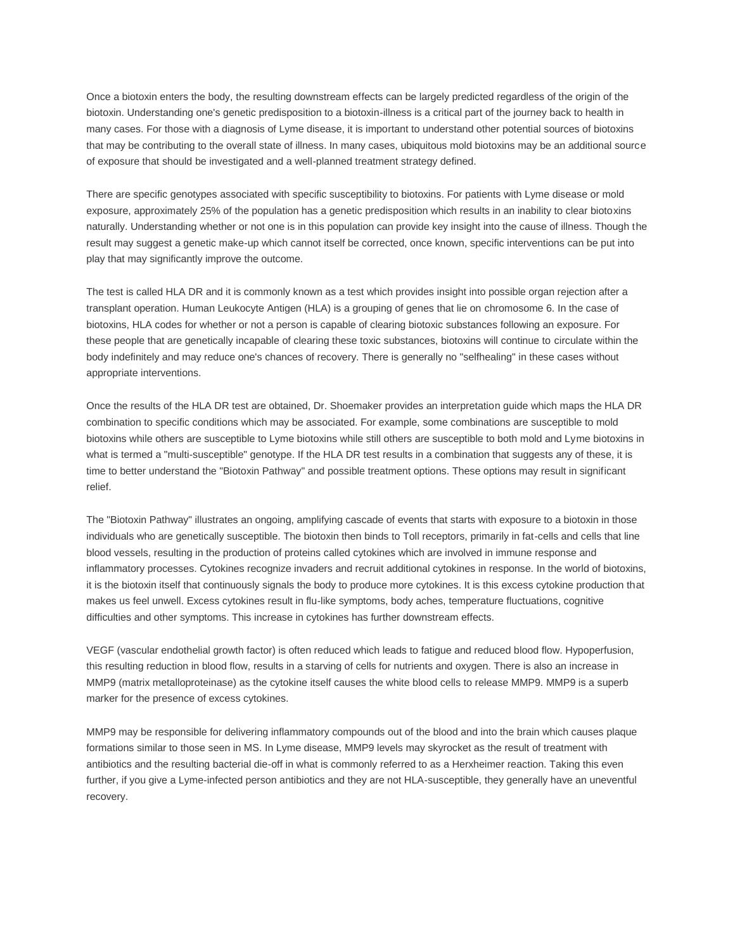Once a biotoxin enters the body, the resulting downstream effects can be largely predicted regardless of the origin of the biotoxin. Understanding one's genetic predisposition to a biotoxin-illness is a critical part of the journey back to health in many cases. For those with a diagnosis of Lyme disease, it is important to understand other potential sources of biotoxins that may be contributing to the overall state of illness. In many cases, ubiquitous mold biotoxins may be an additional source of exposure that should be investigated and a well-planned treatment strategy defined.

There are specific genotypes associated with specific susceptibility to biotoxins. For patients with Lyme disease or mold exposure, approximately 25% of the population has a genetic predisposition which results in an inability to clear biotoxins naturally. Understanding whether or not one is in this population can provide key insight into the cause of illness. Though the result may suggest a genetic make-up which cannot itself be corrected, once known, specific interventions can be put into play that may significantly improve the outcome.

The test is called HLA DR and it is commonly known as a test which provides insight into possible organ rejection after a transplant operation. Human Leukocyte Antigen (HLA) is a grouping of genes that lie on chromosome 6. In the case of biotoxins, HLA codes for whether or not a person is capable of clearing biotoxic substances following an exposure. For these people that are genetically incapable of clearing these toxic substances, biotoxins will continue to circulate within the body indefinitely and may reduce one's chances of recovery. There is generally no "selfhealing" in these cases without appropriate interventions.

Once the results of the HLA DR test are obtained, Dr. Shoemaker provides an interpretation guide which maps the HLA DR combination to specific conditions which may be associated. For example, some combinations are susceptible to mold biotoxins while others are susceptible to Lyme biotoxins while still others are susceptible to both mold and Lyme biotoxins in what is termed a "multi-susceptible" genotype. If the HLA DR test results in a combination that suggests any of these, it is time to better understand the "Biotoxin Pathway" and possible treatment options. These options may result in significant relief.

The "Biotoxin Pathway" illustrates an ongoing, amplifying cascade of events that starts with exposure to a biotoxin in those individuals who are genetically susceptible. The biotoxin then binds to Toll receptors, primarily in fat-cells and cells that line blood vessels, resulting in the production of proteins called cytokines which are involved in immune response and inflammatory processes. Cytokines recognize invaders and recruit additional cytokines in response. In the world of biotoxins, it is the biotoxin itself that continuously signals the body to produce more cytokines. It is this excess cytokine production that makes us feel unwell. Excess cytokines result in flu-like symptoms, body aches, temperature fluctuations, cognitive difficulties and other symptoms. This increase in cytokines has further downstream effects.

VEGF (vascular endothelial growth factor) is often reduced which leads to fatigue and reduced blood flow. Hypoperfusion, this resulting reduction in blood flow, results in a starving of cells for nutrients and oxygen. There is also an increase in MMP9 (matrix metalloproteinase) as the cytokine itself causes the white blood cells to release MMP9. MMP9 is a superb marker for the presence of excess cytokines.

MMP9 may be responsible for delivering inflammatory compounds out of the blood and into the brain which causes plaque formations similar to those seen in MS. In Lyme disease, MMP9 levels may skyrocket as the result of treatment with antibiotics and the resulting bacterial die-off in what is commonly referred to as a Herxheimer reaction. Taking this even further, if you give a Lyme-infected person antibiotics and they are not HLA-susceptible, they generally have an uneventful recovery.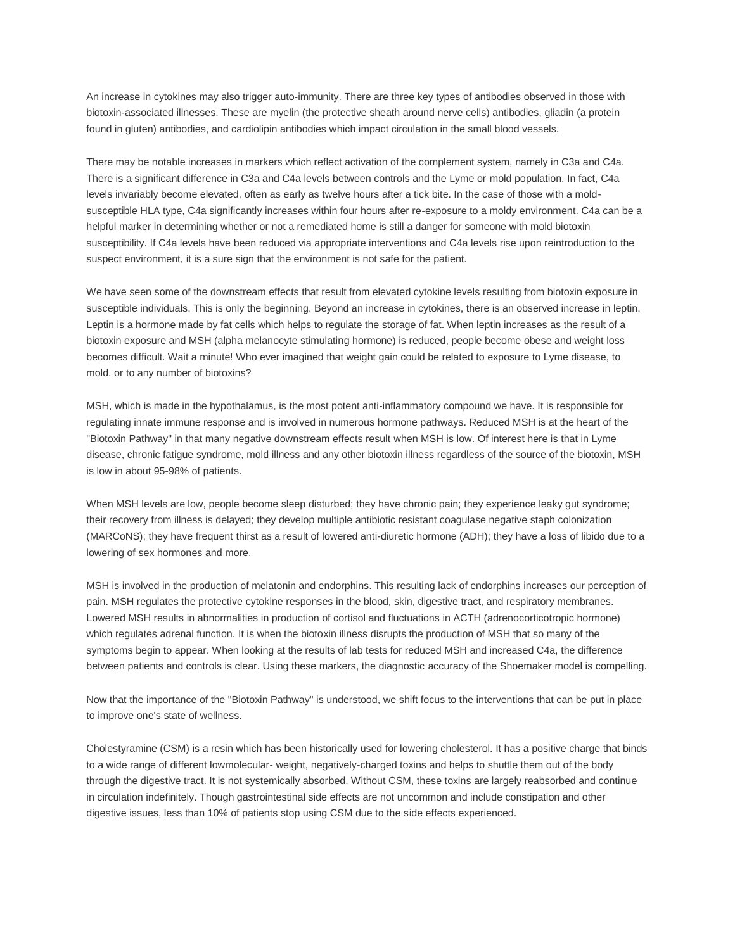An increase in cytokines may also trigger auto-immunity. There are three key types of antibodies observed in those with biotoxin-associated illnesses. These are myelin (the protective sheath around nerve cells) antibodies, gliadin (a protein found in gluten) antibodies, and cardiolipin antibodies which impact circulation in the small blood vessels.

There may be notable increases in markers which reflect activation of the complement system, namely in C3a and C4a. There is a significant difference in C3a and C4a levels between controls and the Lyme or mold population. In fact, C4a levels invariably become elevated, often as early as twelve hours after a tick bite. In the case of those with a moldsusceptible HLA type, C4a significantly increases within four hours after re-exposure to a moldy environment. C4a can be a helpful marker in determining whether or not a remediated home is still a danger for someone with mold biotoxin susceptibility. If C4a levels have been reduced via appropriate interventions and C4a levels rise upon reintroduction to the suspect environment, it is a sure sign that the environment is not safe for the patient.

We have seen some of the downstream effects that result from elevated cytokine levels resulting from biotoxin exposure in susceptible individuals. This is only the beginning. Beyond an increase in cytokines, there is an observed increase in leptin. Leptin is a hormone made by fat cells which helps to regulate the storage of fat. When leptin increases as the result of a biotoxin exposure and MSH (alpha melanocyte stimulating hormone) is reduced, people become obese and weight loss becomes difficult. Wait a minute! Who ever imagined that weight gain could be related to exposure to Lyme disease, to mold, or to any number of biotoxins?

MSH, which is made in the hypothalamus, is the most potent anti-inflammatory compound we have. It is responsible for regulating innate immune response and is involved in numerous hormone pathways. Reduced MSH is at the heart of the "Biotoxin Pathway" in that many negative downstream effects result when MSH is low. Of interest here is that in Lyme disease, chronic fatigue syndrome, mold illness and any other biotoxin illness regardless of the source of the biotoxin, MSH is low in about 95-98% of patients.

When MSH levels are low, people become sleep disturbed; they have chronic pain; they experience leaky gut syndrome; their recovery from illness is delayed; they develop multiple antibiotic resistant coagulase negative staph colonization (MARCoNS); they have frequent thirst as a result of lowered anti-diuretic hormone (ADH); they have a loss of libido due to a lowering of sex hormones and more.

MSH is involved in the production of melatonin and endorphins. This resulting lack of endorphins increases our perception of pain. MSH regulates the protective cytokine responses in the blood, skin, digestive tract, and respiratory membranes. Lowered MSH results in abnormalities in production of cortisol and fluctuations in ACTH (adrenocorticotropic hormone) which regulates adrenal function. It is when the biotoxin illness disrupts the production of MSH that so many of the symptoms begin to appear. When looking at the results of lab tests for reduced MSH and increased C4a, the difference between patients and controls is clear. Using these markers, the diagnostic accuracy of the Shoemaker model is compelling.

Now that the importance of the "Biotoxin Pathway" is understood, we shift focus to the interventions that can be put in place to improve one's state of wellness.

Cholestyramine (CSM) is a resin which has been historically used for lowering cholesterol. It has a positive charge that binds to a wide range of different lowmolecular- weight, negatively-charged toxins and helps to shuttle them out of the body through the digestive tract. It is not systemically absorbed. Without CSM, these toxins are largely reabsorbed and continue in circulation indefinitely. Though gastrointestinal side effects are not uncommon and include constipation and other digestive issues, less than 10% of patients stop using CSM due to the side effects experienced.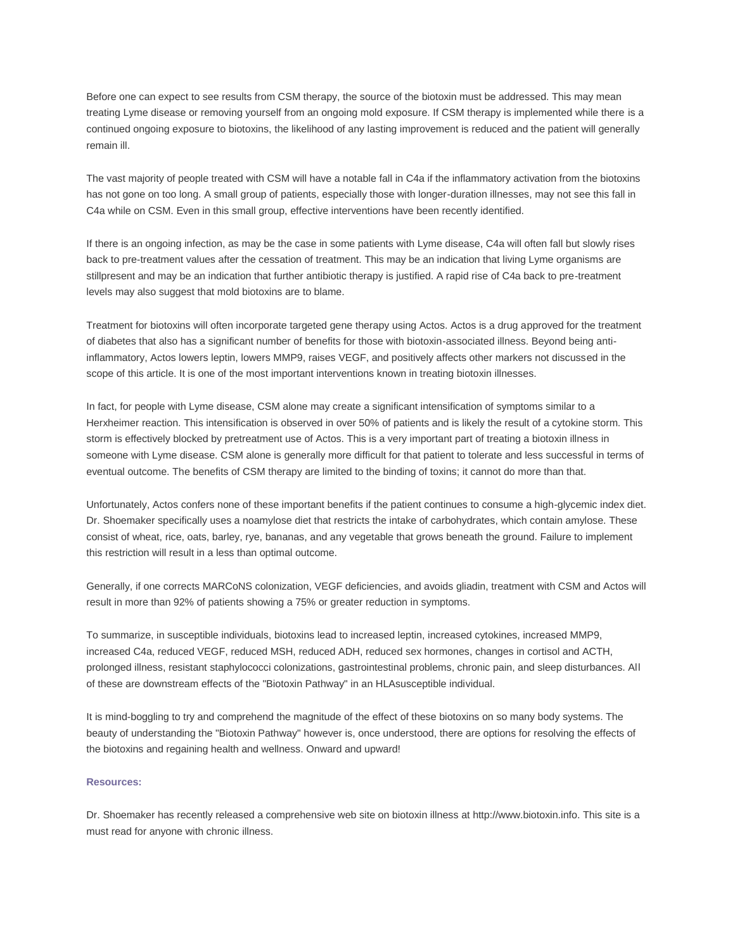Before one can expect to see results from CSM therapy, the source of the biotoxin must be addressed. This may mean treating Lyme disease or removing yourself from an ongoing mold exposure. If CSM therapy is implemented while there is a continued ongoing exposure to biotoxins, the likelihood of any lasting improvement is reduced and the patient will generally remain ill.

The vast majority of people treated with CSM will have a notable fall in C4a if the inflammatory activation from the biotoxins has not gone on too long. A small group of patients, especially those with longer-duration illnesses, may not see this fall in C4a while on CSM. Even in this small group, effective interventions have been recently identified.

If there is an ongoing infection, as may be the case in some patients with Lyme disease, C4a will often fall but slowly rises back to pre-treatment values after the cessation of treatment. This may be an indication that living Lyme organisms are stillpresent and may be an indication that further antibiotic therapy is justified. A rapid rise of C4a back to pre-treatment levels may also suggest that mold biotoxins are to blame.

Treatment for biotoxins will often incorporate targeted gene therapy using Actos. Actos is a drug approved for the treatment of diabetes that also has a significant number of benefits for those with biotoxin-associated illness. Beyond being antiinflammatory, Actos lowers leptin, lowers MMP9, raises VEGF, and positively affects other markers not discussed in the scope of this article. It is one of the most important interventions known in treating biotoxin illnesses.

In fact, for people with Lyme disease, CSM alone may create a significant intensification of symptoms similar to a Herxheimer reaction. This intensification is observed in over 50% of patients and is likely the result of a cytokine storm. This storm is effectively blocked by pretreatment use of Actos. This is a very important part of treating a biotoxin illness in someone with Lyme disease. CSM alone is generally more difficult for that patient to tolerate and less successful in terms of eventual outcome. The benefits of CSM therapy are limited to the binding of toxins; it cannot do more than that.

Unfortunately, Actos confers none of these important benefits if the patient continues to consume a high-glycemic index diet. Dr. Shoemaker specifically uses a noamylose diet that restricts the intake of carbohydrates, which contain amylose. These consist of wheat, rice, oats, barley, rye, bananas, and any vegetable that grows beneath the ground. Failure to implement this restriction will result in a less than optimal outcome.

Generally, if one corrects MARCoNS colonization, VEGF deficiencies, and avoids gliadin, treatment with CSM and Actos will result in more than 92% of patients showing a 75% or greater reduction in symptoms.

To summarize, in susceptible individuals, biotoxins lead to increased leptin, increased cytokines, increased MMP9, increased C4a, reduced VEGF, reduced MSH, reduced ADH, reduced sex hormones, changes in cortisol and ACTH, prolonged illness, resistant staphylococci colonizations, gastrointestinal problems, chronic pain, and sleep disturbances. All of these are downstream effects of the "Biotoxin Pathway" in an HLAsusceptible individual.

It is mind-boggling to try and comprehend the magnitude of the effect of these biotoxins on so many body systems. The beauty of understanding the "Biotoxin Pathway" however is, once understood, there are options for resolving the effects of the biotoxins and regaining health and wellness. Onward and upward!

## **Resources:**

Dr. Shoemaker has recently released a comprehensive web site on biotoxin illness at http://www.biotoxin.info. This site is a must read for anyone with chronic illness.